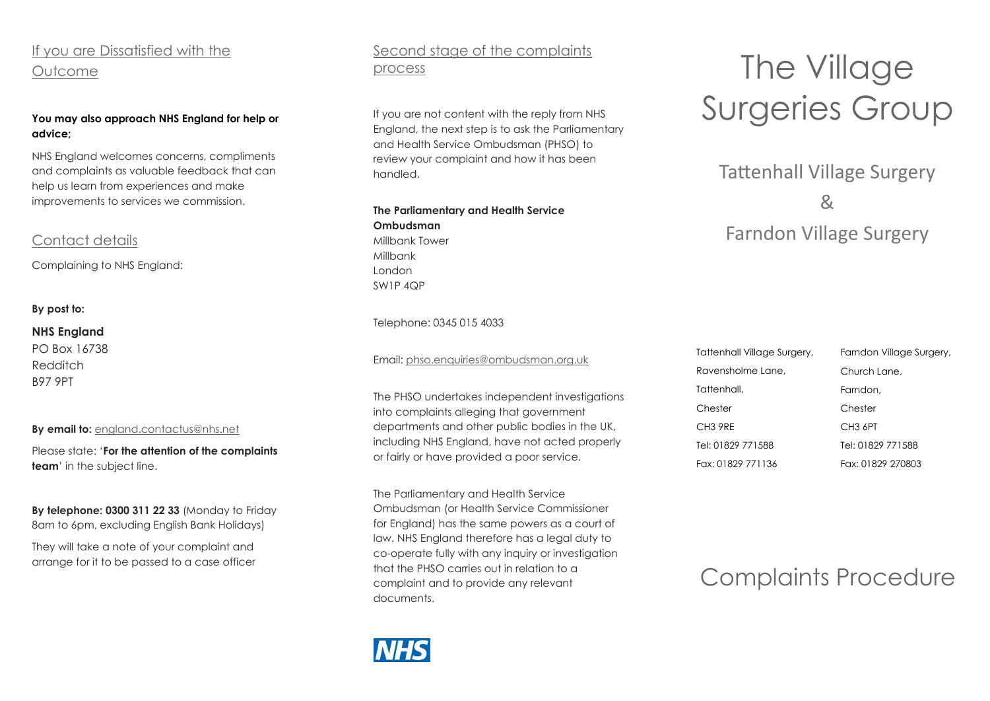# If you are Dissatisfied with the Outcome

#### **You may also approach NHS England for help or advice;**

NHS England welcomes concerns, compliments and complaints as valuable feedback that can help us learn from experiences and make improvements to services we commission.

# Contact details

Complaining to NHS England:

#### **By post to:**

#### **NHS England**

PO Box 16738 Redditch B97 9PT

#### **By email to:** [england.contactus@nhs.net](mailto:england.contactus@nhs.net)

Please state: '**For the attention of the complaints team**' in the subject line.

**By telephone: 0300 311 22 33** (Monday to Friday 8am to 6pm, excluding English Bank Holidays)

They will take a note of your complaint and arrange for it to be passed to a case officer

# Second stage of the complaints process

If you are not content with the reply from NHS England, the next step is to ask the Parliamentary and Health Service Ombudsman (PHSO) to review your complaint and how it has been handled.

**The Parliamentary and Health Service Ombudsman** Millbank Tower Millbank London SW1P 4QP

#### Telephone: 0345 015 4033

Email: [phso.enquiries@ombudsman.org.uk](mailto:phso.enquiries@ombudsman.org.uk)

The PHSO undertakes independent investigations into complaints alleging that government departments and other public bodies in the UK, including NHS England, have not acted properly or fairly or have provided a poor service.

The Parliamentary and Health Service Ombudsman (or Health Service Commissioner for England) has the same powers as a court of law. NHS England therefore has a legal duty to co-operate fully with any inquiry or investigation that the PHSO carries out in relation to a complaint and to provide any relevant documents.



# The Village Surgeries Group

Tattenhall Village Surgery & Farndon Village Surgery

| Tattenhall Village Surgery, | Farndon Village Surgery, |
|-----------------------------|--------------------------|
| Ravensholme Lane,           | Church Lane,             |
| Tattenhall,                 | Farndon,                 |
| Chester                     | Chester                  |
| CH <sub>3</sub> 9RE         | CH <sub>3</sub> 6PT      |
| Tel: 01829 771588           | Tel: 01829 771588        |
| Fax: 01829 771136           | Fax: 01829 270803        |

# Complaints Procedure